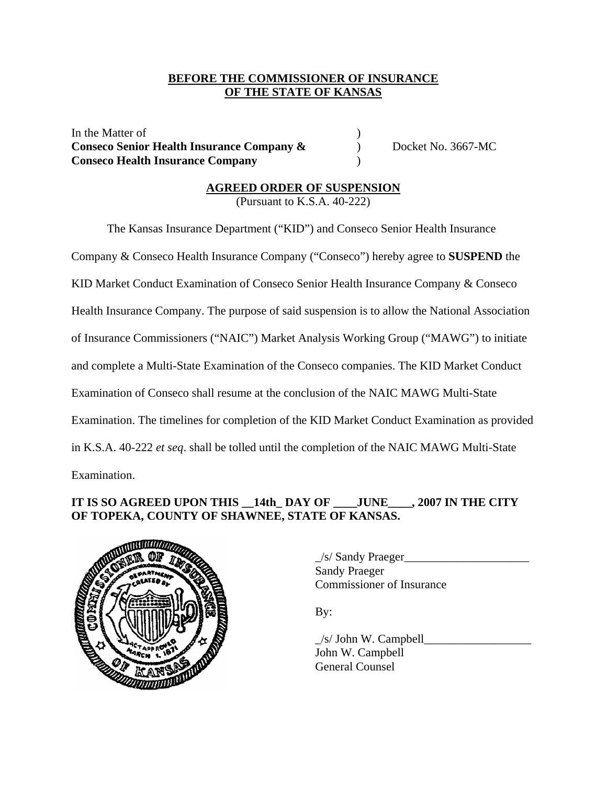## **BEFORE THE COMMISSIONER OF INSURANCE OF THE STATE OF KANSAS**

In the Matter of  $\blacksquare$ **Conseco Senior Health Insurance Company &** Docket No. 3667-MC **Conseco Health Insurance Company** )

# **AGREED ORDER OF SUSPENSION**

(Pursuant to K.S.A. 40-222)

 The Kansas Insurance Department ("KID") and Conseco Senior Health Insurance Company & Conseco Health Insurance Company ("Conseco") hereby agree to **SUSPEND** the KID Market Conduct Examination of Conseco Senior Health Insurance Company & Conseco Health Insurance Company. The purpose of said suspension is to allow the National Association of Insurance Commissioners ("NAIC") Market Analysis Working Group ("MAWG") to initiate and complete a Multi-State Examination of the Conseco companies. The KID Market Conduct Examination of Conseco shall resume at the conclusion of the NAIC MAWG Multi-State Examination. The timelines for completion of the KID Market Conduct Examination as provided in K.S.A. 40-222 *et seq*. shall be tolled until the completion of the NAIC MAWG Multi-State Examination.

## **IT IS SO AGREED UPON THIS \_\_14th\_ DAY OF \_\_\_\_JUNE\_\_\_\_, 2007 IN THE CITY OF TOPEKA, COUNTY OF SHAWNEE, STATE OF KANSAS.**



\_/s/ Sandy Praeger\_\_\_\_\_\_\_\_\_\_\_\_\_\_\_\_\_\_\_\_\_ Sandy Praeger Commissioner of Insurance

By:

 $/s/$  John W. Campbell John W. Campbell General Counsel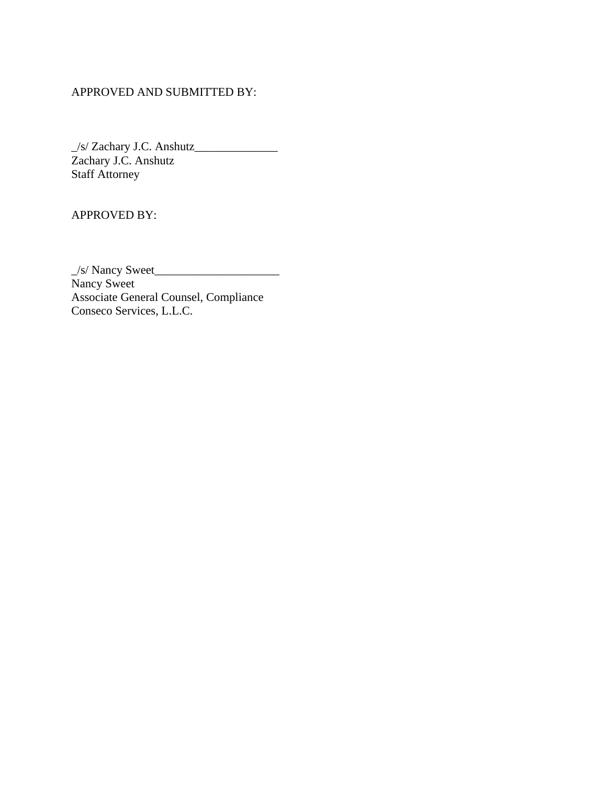## APPROVED AND SUBMITTED BY:

\_/s/ Zachary J.C. Anshutz\_\_\_\_\_\_\_\_\_\_\_\_\_\_ Zachary J.C. Anshutz Staff Attorney

APPROVED BY:

\_/s/ Nancy Sweet\_\_\_\_\_\_\_\_\_\_\_\_\_\_\_\_\_\_\_\_\_ Nancy Sweet Associate General Counsel, Compliance Conseco Services, L.L.C.